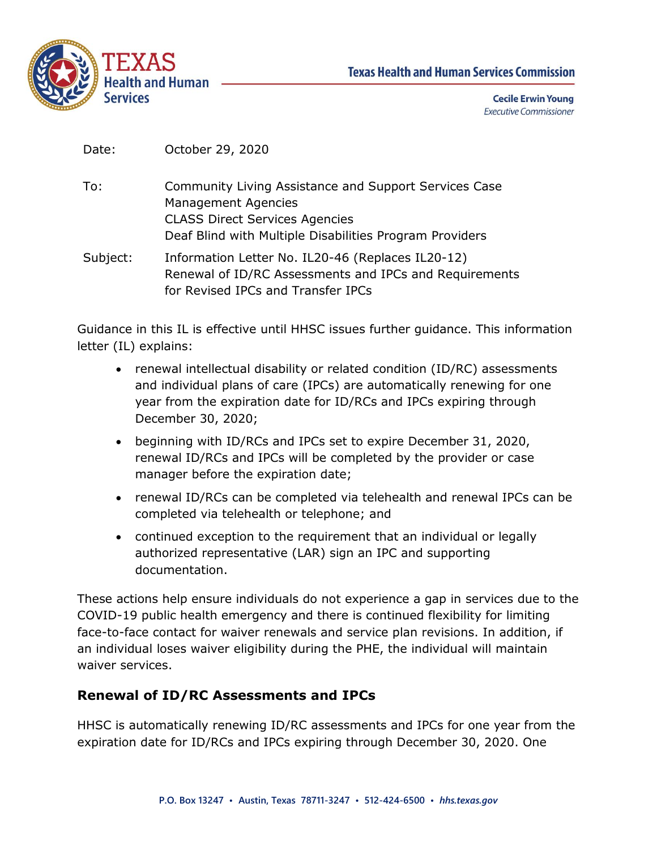



**Cecile Erwin Young Executive Commissioner** 

| To:        | Community Living Assistance and Support Services Case   |
|------------|---------------------------------------------------------|
|            | Management Agencies                                     |
|            | <b>CLASS Direct Services Agencies</b>                   |
|            | Deaf Blind with Multiple Disabilities Program Providers |
| Suhiect: . | Information Letter No. IL 20-46 (Replaces IL 20-12)     |

Subject: Information Letter No. IL20-46 (Replaces IL20-12) Renewal of ID/RC Assessments and IPCs and Requirements for Revised IPCs and Transfer IPCs

Guidance in this IL is effective until HHSC issues further guidance. This information letter (IL) explains:

- renewal intellectual disability or related condition (ID/RC) assessments and individual plans of care (IPCs) are automatically renewing for one year from the expiration date for ID/RCs and IPCs expiring through December 30, 2020;
- beginning with ID/RCs and IPCs set to expire December 31, 2020, renewal ID/RCs and IPCs will be completed by the provider or case manager before the expiration date;
- renewal ID/RCs can be completed via telehealth and renewal IPCs can be completed via telehealth or telephone; and
- continued exception to the requirement that an individual or legally authorized representative (LAR) sign an IPC and supporting documentation.

These actions help ensure individuals do not experience a gap in services due to the COVID-19 public health emergency and there is continued flexibility for limiting face-to-face contact for waiver renewals and service plan revisions. In addition, if an individual loses waiver eligibility during the PHE, the individual will maintain waiver services.

## **Renewal of ID/RC Assessments and IPCs**

HHSC is automatically renewing ID/RC assessments and IPCs for one year from the expiration date for ID/RCs and IPCs expiring through December 30, 2020. One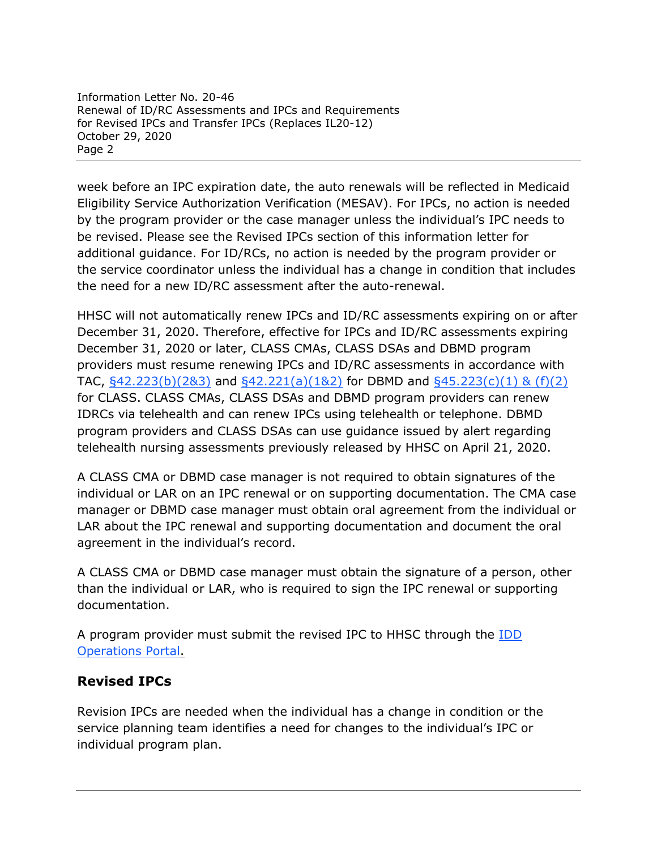Information Letter No. 20-46 Renewal of ID/RC Assessments and IPCs and Requirements for Revised IPCs and Transfer IPCs (Replaces IL20-12) October 29, 2020 Page 2

week before an IPC expiration date, the auto renewals will be reflected in Medicaid Eligibility Service Authorization Verification (MESAV). For IPCs, no action is needed by the program provider or the case manager unless the individual's IPC needs to be revised. Please see the Revised IPCs section of this information letter for additional guidance. For ID/RCs, no action is needed by the program provider or the service coordinator unless the individual has a change in condition that includes the need for a new ID/RC assessment after the auto-renewal.

HHSC will not automatically renew IPCs and ID/RC assessments expiring on or after December 31, 2020. Therefore, effective for IPCs and ID/RC assessments expiring December 31, 2020 or later, CLASS CMAs, CLASS DSAs and DBMD program providers must resume renewing IPCs and ID/RC assessments in accordance with TAC,  $\frac{642.223(b)(283)}{842.221(a)(182)}$  for DBMD and  $\frac{645.223(c)(1) 8 (f)(2)}{8 (f)(2)}$ for CLASS. CLASS CMAs, CLASS DSAs and DBMD program providers can renew IDRCs via telehealth and can renew IPCs using telehealth or telephone. DBMD program providers and CLASS DSAs can use guidance issued by alert regarding telehealth nursing assessments previously released by HHSC on April 21, 2020.

A CLASS CMA or DBMD case manager is not required to obtain signatures of the individual or LAR on an IPC renewal or on supporting documentation. The CMA case manager or DBMD case manager must obtain oral agreement from the individual or LAR about the IPC renewal and supporting documentation and document the oral agreement in the individual's record.

A CLASS CMA or DBMD case manager must obtain the signature of a person, other than the individual or LAR, who is required to sign the IPC renewal or supporting documentation.

A program provider must submit the revised IPC to HHSC through the **IDD** [Operations Portal.](http://txhhs.force.com/)

## **Revised IPCs**

Revision IPCs are needed when the individual has a change in condition or the service planning team identifies a need for changes to the individual's IPC or individual program plan.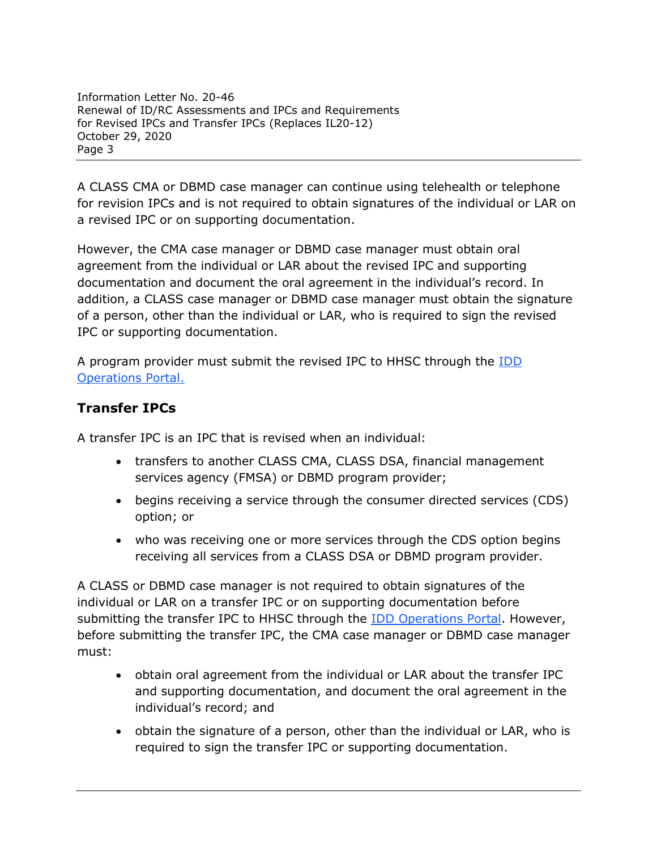Information Letter No. 20-46 Renewal of ID/RC Assessments and IPCs and Requirements for Revised IPCs and Transfer IPCs (Replaces IL20-12) October 29, 2020 Page 3

A CLASS CMA or DBMD case manager can continue using telehealth or telephone for revision IPCs and is not required to obtain signatures of the individual or LAR on a revised IPC or on supporting documentation.

However, the CMA case manager or DBMD case manager must obtain oral agreement from the individual or LAR about the revised IPC and supporting documentation and document the oral agreement in the individual's record. In addition, a CLASS case manager or DBMD case manager must obtain the signature of a person, other than the individual or LAR, who is required to sign the revised IPC or supporting documentation.

A program provider must submit the revised IPC to HHSC through the [IDD](http://txhhs.force.com/)  [Operations Portal.](http://txhhs.force.com/)

## **Transfer IPCs**

A transfer IPC is an IPC that is revised when an individual:

- transfers to another CLASS CMA, CLASS DSA, financial management services agency (FMSA) or DBMD program provider;
- begins receiving a service through the consumer directed services (CDS) option; or
- who was receiving one or more services through the CDS option begins receiving all services from a CLASS DSA or DBMD program provider.

A CLASS or DBMD case manager is not required to obtain signatures of the individual or LAR on a transfer IPC or on supporting documentation before submitting the transfer IPC to HHSC through the **IDD** Operations Portal. However, before submitting the transfer IPC, the CMA case manager or DBMD case manager must:

- obtain oral agreement from the individual or LAR about the transfer IPC and supporting documentation, and document the oral agreement in the individual's record; and
- obtain the signature of a person, other than the individual or LAR, who is required to sign the transfer IPC or supporting documentation.